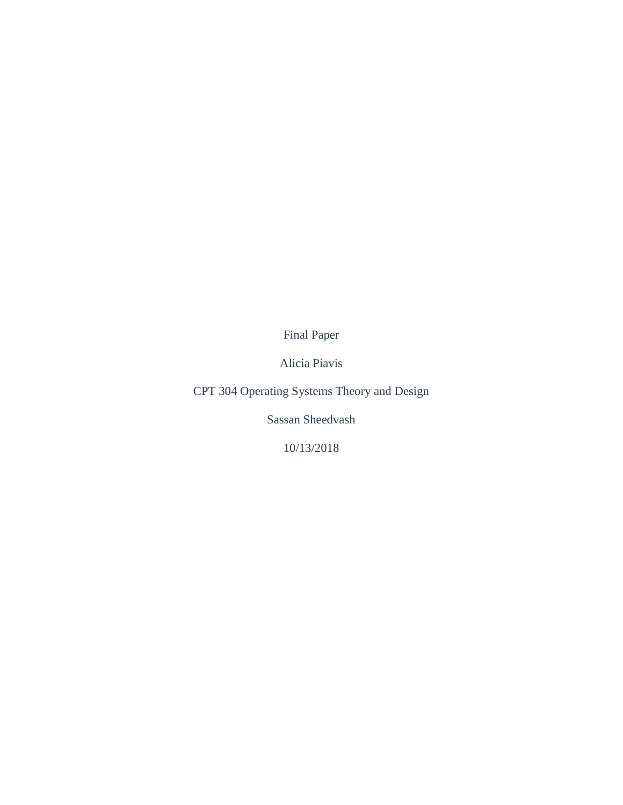Final Paper

Alicia Piavis

CPT 304 Operating Systems Theory and Design

Sassan Sheedvash

10/13/2018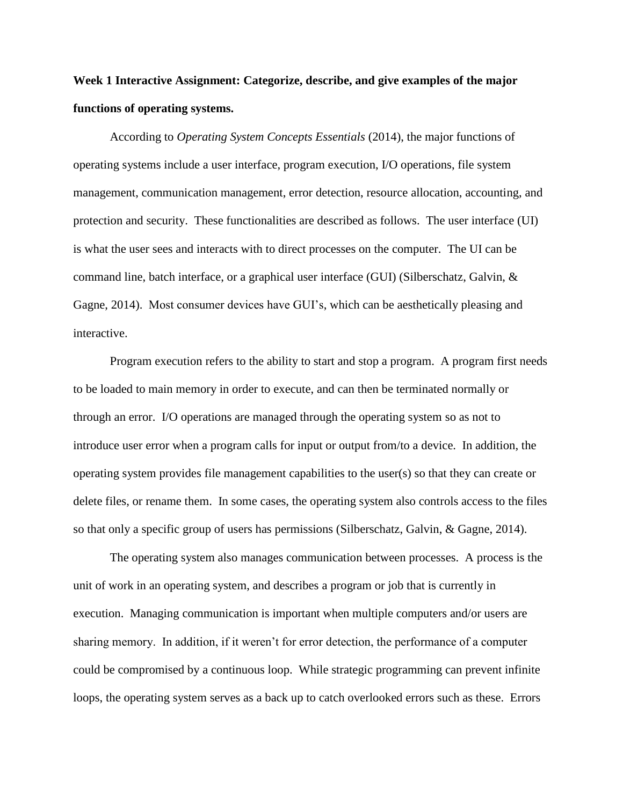## **Week 1 Interactive Assignment: Categorize, describe, and give examples of the major functions of operating systems.**

According to *Operating System Concepts Essentials* (2014), the major functions of operating systems include a user interface, program execution, I/O operations, file system management, communication management, error detection, resource allocation, accounting, and protection and security. These functionalities are described as follows. The user interface (UI) is what the user sees and interacts with to direct processes on the computer. The UI can be command line, batch interface, or a graphical user interface (GUI) (Silberschatz, Galvin, & Gagne, 2014). Most consumer devices have GUI's, which can be aesthetically pleasing and interactive.

Program execution refers to the ability to start and stop a program. A program first needs to be loaded to main memory in order to execute, and can then be terminated normally or through an error. I/O operations are managed through the operating system so as not to introduce user error when a program calls for input or output from/to a device. In addition, the operating system provides file management capabilities to the user(s) so that they can create or delete files, or rename them. In some cases, the operating system also controls access to the files so that only a specific group of users has permissions (Silberschatz, Galvin, & Gagne, 2014).

The operating system also manages communication between processes. A process is the unit of work in an operating system, and describes a program or job that is currently in execution. Managing communication is important when multiple computers and/or users are sharing memory. In addition, if it weren't for error detection, the performance of a computer could be compromised by a continuous loop. While strategic programming can prevent infinite loops, the operating system serves as a back up to catch overlooked errors such as these. Errors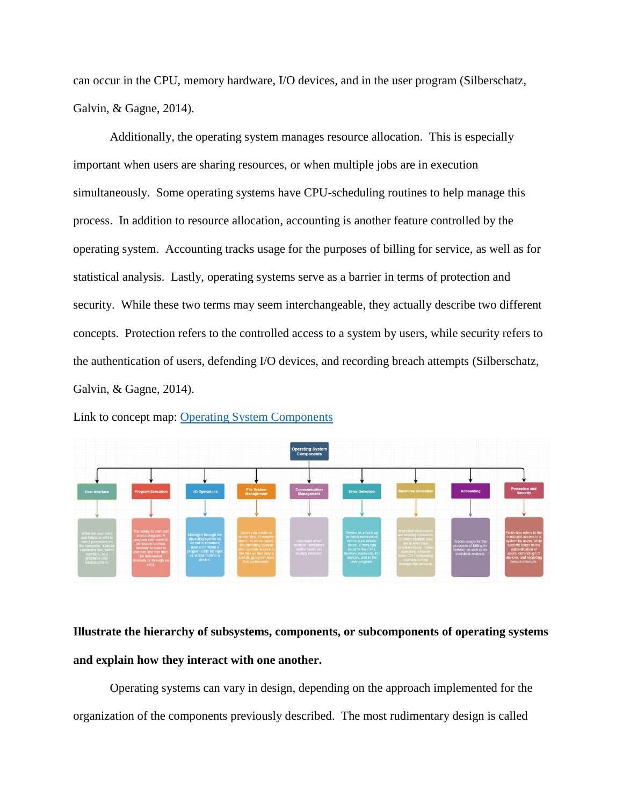can occur in the CPU, memory hardware, I/O devices, and in the user program (Silberschatz, Galvin, & Gagne, 2014).

Additionally, the operating system manages resource allocation. This is especially important when users are sharing resources, or when multiple jobs are in execution simultaneously. Some operating systems have CPU-scheduling routines to help manage this process. In addition to resource allocation, accounting is another feature controlled by the operating system. Accounting tracks usage for the purposes of billing for service, as well as for statistical analysis. Lastly, operating systems serve as a barrier in terms of protection and security. While these two terms may seem interchangeable, they actually describe two different concepts. Protection refers to the controlled access to a system by users, while security refers to the authentication of users, defending I/O devices, and recording breach attempts (Silberschatz, Galvin, & Gagne, 2014).



Link to concept map: [Operating System Components](https://drive.google.com/file/d/1LS9jABElvODeXhzU0DUL6icryW82pkL5/view?usp=sharing)

**Illustrate the hierarchy of subsystems, components, or subcomponents of operating systems and explain how they interact with one another.**

Operating systems can vary in design, depending on the approach implemented for the organization of the components previously described. The most rudimentary design is called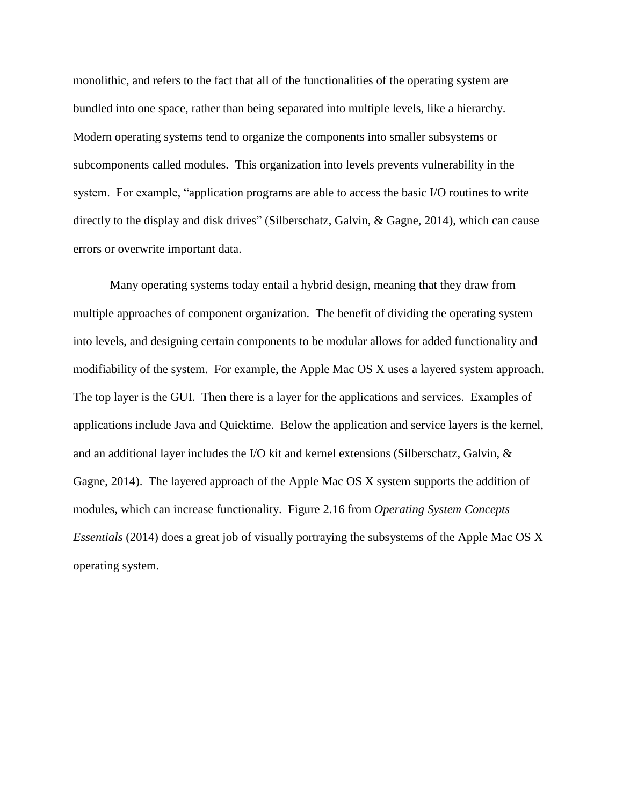monolithic, and refers to the fact that all of the functionalities of the operating system are bundled into one space, rather than being separated into multiple levels, like a hierarchy. Modern operating systems tend to organize the components into smaller subsystems or subcomponents called modules. This organization into levels prevents vulnerability in the system. For example, "application programs are able to access the basic I/O routines to write directly to the display and disk drives" (Silberschatz, Galvin, & Gagne, 2014), which can cause errors or overwrite important data.

Many operating systems today entail a hybrid design, meaning that they draw from multiple approaches of component organization. The benefit of dividing the operating system into levels, and designing certain components to be modular allows for added functionality and modifiability of the system. For example, the Apple Mac OS X uses a layered system approach. The top layer is the GUI. Then there is a layer for the applications and services. Examples of applications include Java and Quicktime. Below the application and service layers is the kernel, and an additional layer includes the I/O kit and kernel extensions (Silberschatz, Galvin, & Gagne, 2014). The layered approach of the Apple Mac OS X system supports the addition of modules, which can increase functionality. Figure 2.16 from *Operating System Concepts Essentials* (2014) does a great job of visually portraying the subsystems of the Apple Mac OS X operating system.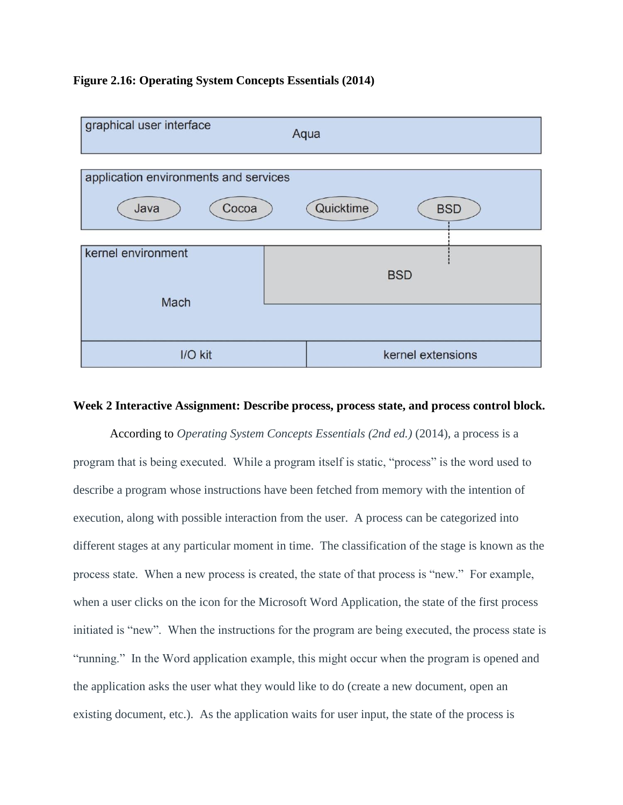### **Figure 2.16: Operating System Concepts Essentials (2014)**



### **Week 2 Interactive Assignment: Describe process, process state, and process control block.**

According to *Operating System Concepts Essentials (2nd ed.)* (2014), a process is a program that is being executed. While a program itself is static, "process" is the word used to describe a program whose instructions have been fetched from memory with the intention of execution, along with possible interaction from the user. A process can be categorized into different stages at any particular moment in time. The classification of the stage is known as the process state. When a new process is created, the state of that process is "new." For example, when a user clicks on the icon for the Microsoft Word Application, the state of the first process initiated is "new". When the instructions for the program are being executed, the process state is "running." In the Word application example, this might occur when the program is opened and the application asks the user what they would like to do (create a new document, open an existing document, etc.). As the application waits for user input, the state of the process is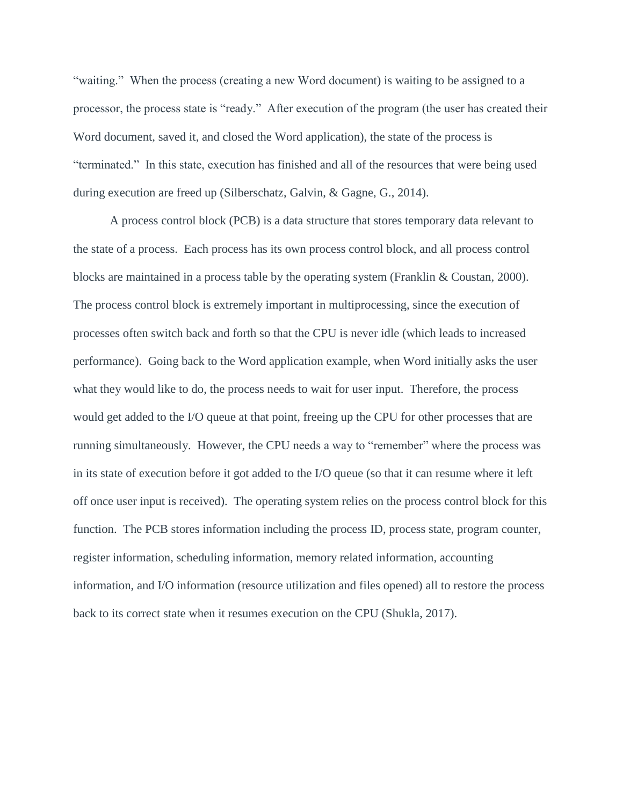"waiting." When the process (creating a new Word document) is waiting to be assigned to a processor, the process state is "ready." After execution of the program (the user has created their Word document, saved it, and closed the Word application), the state of the process is "terminated." In this state, execution has finished and all of the resources that were being used during execution are freed up (Silberschatz, Galvin, & Gagne, G., 2014).

A process control block (PCB) is a data structure that stores temporary data relevant to the state of a process. Each process has its own process control block, and all process control blocks are maintained in a process table by the operating system (Franklin  $\&$  Coustan, 2000). The process control block is extremely important in multiprocessing, since the execution of processes often switch back and forth so that the CPU is never idle (which leads to increased performance). Going back to the Word application example, when Word initially asks the user what they would like to do, the process needs to wait for user input. Therefore, the process would get added to the I/O queue at that point, freeing up the CPU for other processes that are running simultaneously. However, the CPU needs a way to "remember" where the process was in its state of execution before it got added to the I/O queue (so that it can resume where it left off once user input is received). The operating system relies on the process control block for this function. The PCB stores information including the process ID, process state, program counter, register information, scheduling information, memory related information, accounting information, and I/O information (resource utilization and files opened) all to restore the process back to its correct state when it resumes execution on the CPU (Shukla, 2017).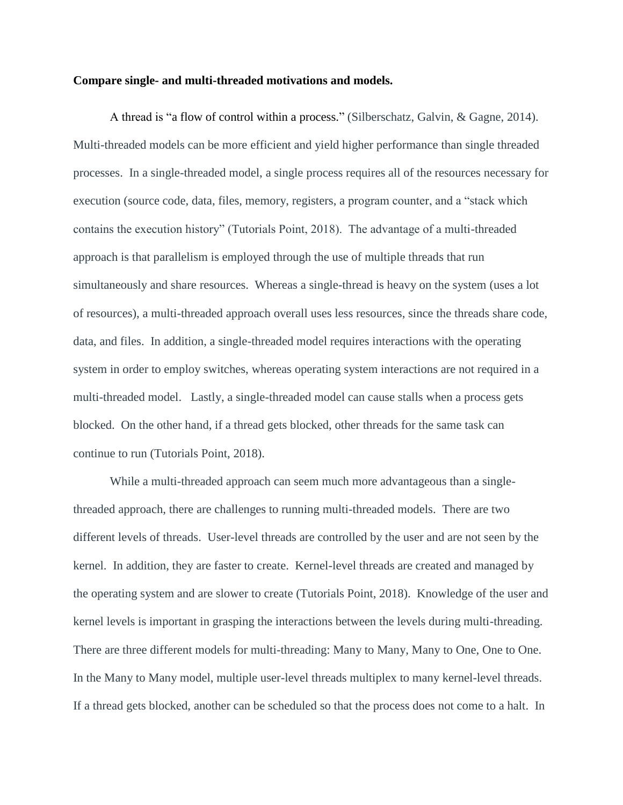#### **Compare single- and multi-threaded motivations and models.**

A thread is "a flow of control within a process." (Silberschatz, Galvin, & Gagne, 2014). Multi-threaded models can be more efficient and yield higher performance than single threaded processes. In a single-threaded model, a single process requires all of the resources necessary for execution (source code, data, files, memory, registers, a program counter, and a "stack which contains the execution history" (Tutorials Point, 2018). The advantage of a multi-threaded approach is that parallelism is employed through the use of multiple threads that run simultaneously and share resources. Whereas a single-thread is heavy on the system (uses a lot of resources), a multi-threaded approach overall uses less resources, since the threads share code, data, and files. In addition, a single-threaded model requires interactions with the operating system in order to employ switches, whereas operating system interactions are not required in a multi-threaded model. Lastly, a single-threaded model can cause stalls when a process gets blocked. On the other hand, if a thread gets blocked, other threads for the same task can continue to run (Tutorials Point, 2018).

While a multi-threaded approach can seem much more advantageous than a singlethreaded approach, there are challenges to running multi-threaded models. There are two different levels of threads. User-level threads are controlled by the user and are not seen by the kernel. In addition, they are faster to create. Kernel-level threads are created and managed by the operating system and are slower to create (Tutorials Point, 2018). Knowledge of the user and kernel levels is important in grasping the interactions between the levels during multi-threading. There are three different models for multi-threading: Many to Many, Many to One, One to One. In the Many to Many model, multiple user-level threads multiplex to many kernel-level threads. If a thread gets blocked, another can be scheduled so that the process does not come to a halt. In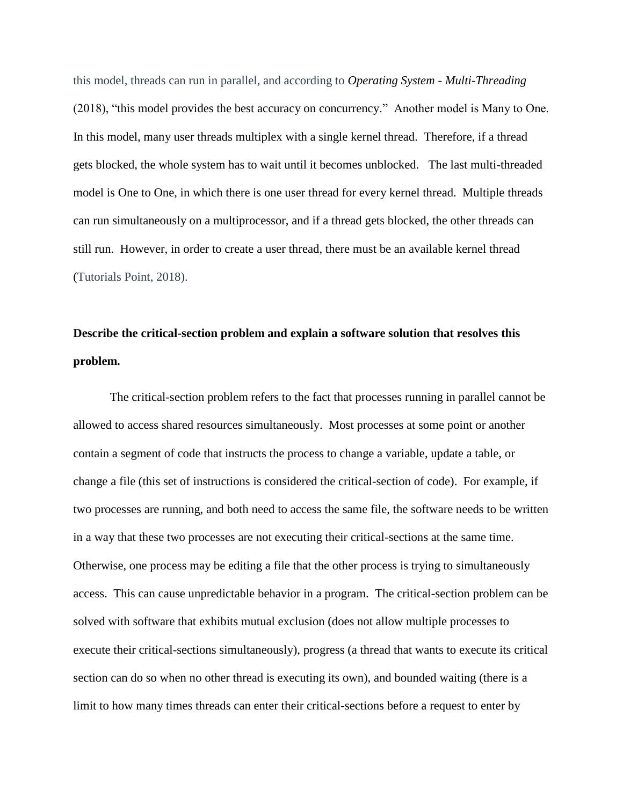this model, threads can run in parallel, and according to *Operating System - Multi-Threading* (2018), "this model provides the best accuracy on concurrency." Another model is Many to One. In this model, many user threads multiplex with a single kernel thread. Therefore, if a thread gets blocked, the whole system has to wait until it becomes unblocked. The last multi-threaded model is One to One, in which there is one user thread for every kernel thread. Multiple threads can run simultaneously on a multiprocessor, and if a thread gets blocked, the other threads can still run. However, in order to create a user thread, there must be an available kernel thread (Tutorials Point, 2018).

# **Describe the critical-section problem and explain a software solution that resolves this problem.**

The critical-section problem refers to the fact that processes running in parallel cannot be allowed to access shared resources simultaneously. Most processes at some point or another contain a segment of code that instructs the process to change a variable, update a table, or change a file (this set of instructions is considered the critical-section of code). For example, if two processes are running, and both need to access the same file, the software needs to be written in a way that these two processes are not executing their critical-sections at the same time. Otherwise, one process may be editing a file that the other process is trying to simultaneously access. This can cause unpredictable behavior in a program. The critical-section problem can be solved with software that exhibits mutual exclusion (does not allow multiple processes to execute their critical-sections simultaneously), progress (a thread that wants to execute its critical section can do so when no other thread is executing its own), and bounded waiting (there is a limit to how many times threads can enter their critical-sections before a request to enter by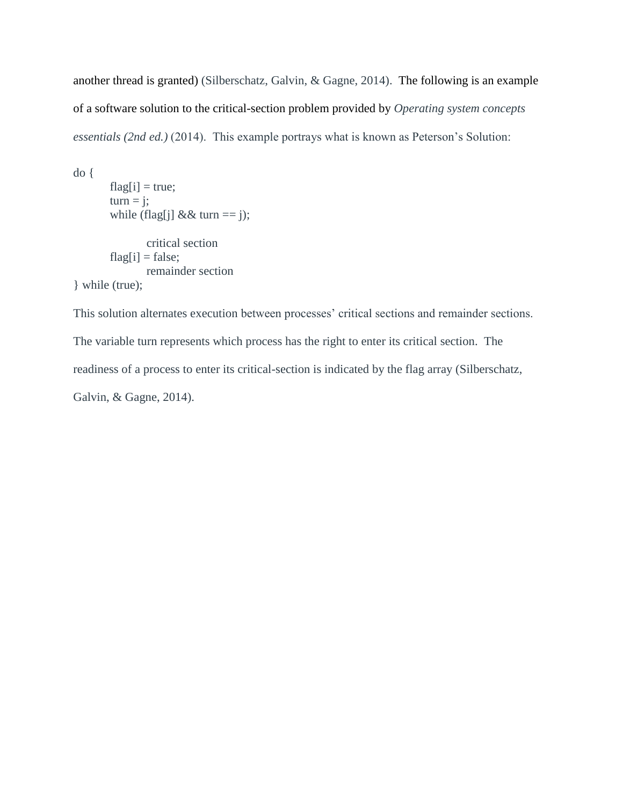another thread is granted) (Silberschatz, Galvin, & Gagne, 2014). The following is an example of a software solution to the critical-section problem provided by *Operating system concepts essentials (2nd ed.)* (2014). This example portrays what is known as Peterson's Solution:

```
do {
       flag[i] = true;turn = j;while (flag[j] && turn == j);
               critical section
       flag[i] = false;remainder section
} while (true);
```
This solution alternates execution between processes' critical sections and remainder sections. The variable turn represents which process has the right to enter its critical section. The readiness of a process to enter its critical-section is indicated by the flag array (Silberschatz, Galvin, & Gagne, 2014).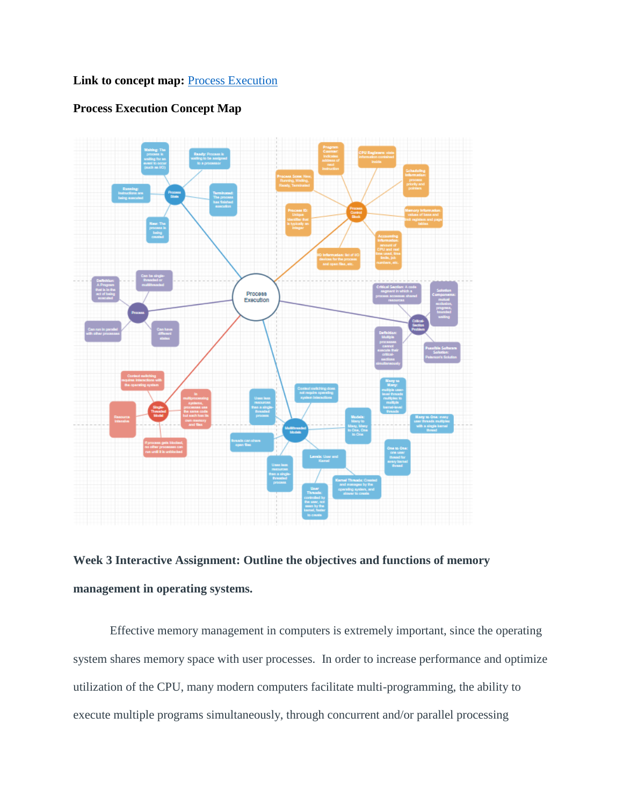### **Link to concept map: [Process Execution](https://drive.google.com/file/d/16VMlKHOUeC6FtAgpCoxOi9KWDBd0oT6r/view?usp=sharing)**

### **Process Execution Concept Map**





Effective memory management in computers is extremely important, since the operating system shares memory space with user processes. In order to increase performance and optimize utilization of the CPU, many modern computers facilitate multi-programming, the ability to execute multiple programs simultaneously, through concurrent and/or parallel processing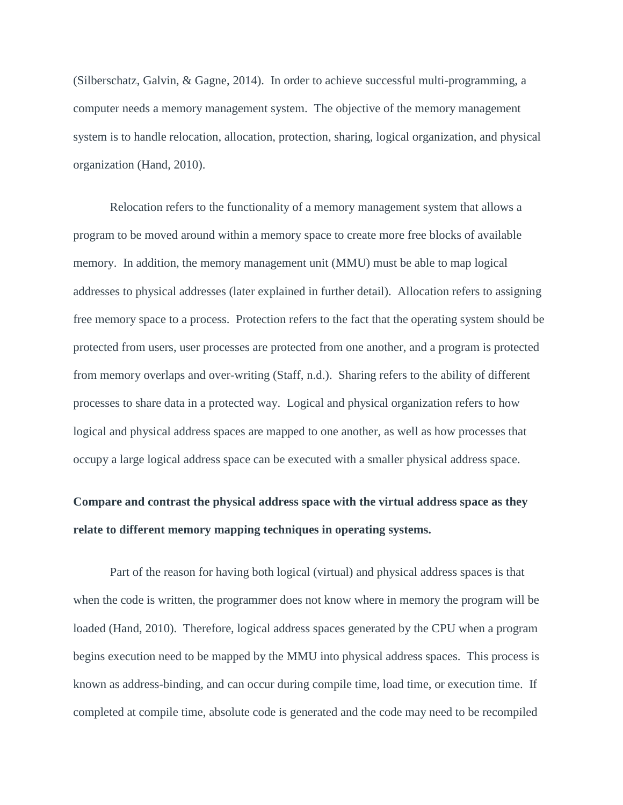(Silberschatz, Galvin, & Gagne, 2014). In order to achieve successful multi-programming, a computer needs a memory management system. The objective of the memory management system is to handle relocation, allocation, protection, sharing, logical organization, and physical organization (Hand, 2010).

Relocation refers to the functionality of a memory management system that allows a program to be moved around within a memory space to create more free blocks of available memory. In addition, the memory management unit (MMU) must be able to map logical addresses to physical addresses (later explained in further detail). Allocation refers to assigning free memory space to a process. Protection refers to the fact that the operating system should be protected from users, user processes are protected from one another, and a program is protected from memory overlaps and over-writing (Staff, n.d.). Sharing refers to the ability of different processes to share data in a protected way. Logical and physical organization refers to how logical and physical address spaces are mapped to one another, as well as how processes that occupy a large logical address space can be executed with a smaller physical address space.

# **Compare and contrast the physical address space with the virtual address space as they relate to different memory mapping techniques in operating systems.**

Part of the reason for having both logical (virtual) and physical address spaces is that when the code is written, the programmer does not know where in memory the program will be loaded (Hand, 2010). Therefore, logical address spaces generated by the CPU when a program begins execution need to be mapped by the MMU into physical address spaces. This process is known as address-binding, and can occur during compile time, load time, or execution time. If completed at compile time, absolute code is generated and the code may need to be recompiled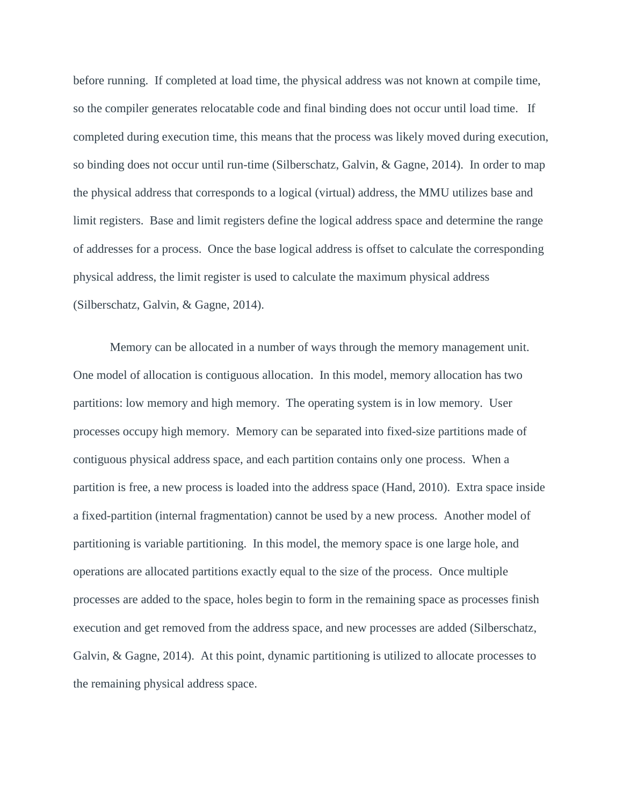before running. If completed at load time, the physical address was not known at compile time, so the compiler generates relocatable code and final binding does not occur until load time. If completed during execution time, this means that the process was likely moved during execution, so binding does not occur until run-time (Silberschatz, Galvin, & Gagne, 2014). In order to map the physical address that corresponds to a logical (virtual) address, the MMU utilizes base and limit registers. Base and limit registers define the logical address space and determine the range of addresses for a process. Once the base logical address is offset to calculate the corresponding physical address, the limit register is used to calculate the maximum physical address (Silberschatz, Galvin, & Gagne, 2014).

Memory can be allocated in a number of ways through the memory management unit. One model of allocation is contiguous allocation. In this model, memory allocation has two partitions: low memory and high memory. The operating system is in low memory. User processes occupy high memory. Memory can be separated into fixed-size partitions made of contiguous physical address space, and each partition contains only one process. When a partition is free, a new process is loaded into the address space (Hand, 2010). Extra space inside a fixed-partition (internal fragmentation) cannot be used by a new process. Another model of partitioning is variable partitioning. In this model, the memory space is one large hole, and operations are allocated partitions exactly equal to the size of the process. Once multiple processes are added to the space, holes begin to form in the remaining space as processes finish execution and get removed from the address space, and new processes are added (Silberschatz, Galvin, & Gagne, 2014). At this point, dynamic partitioning is utilized to allocate processes to the remaining physical address space.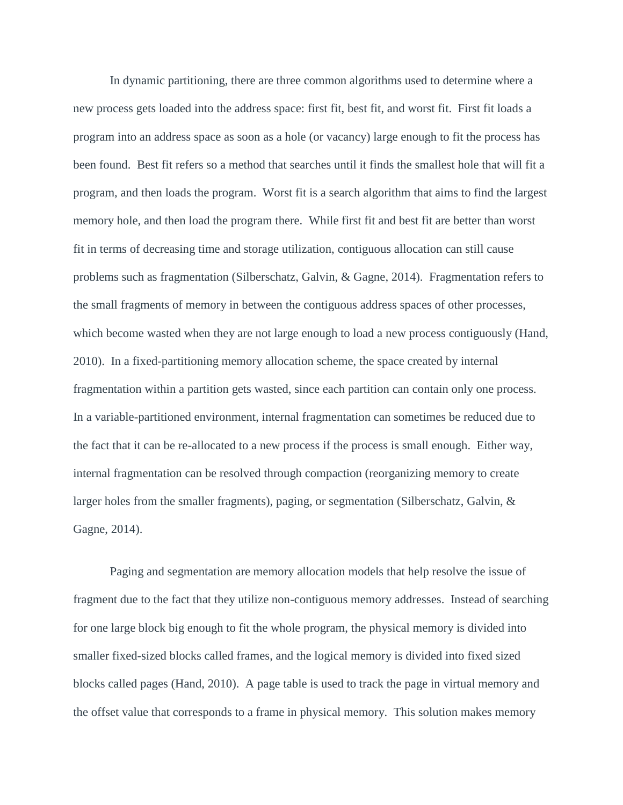In dynamic partitioning, there are three common algorithms used to determine where a new process gets loaded into the address space: first fit, best fit, and worst fit. First fit loads a program into an address space as soon as a hole (or vacancy) large enough to fit the process has been found. Best fit refers so a method that searches until it finds the smallest hole that will fit a program, and then loads the program. Worst fit is a search algorithm that aims to find the largest memory hole, and then load the program there. While first fit and best fit are better than worst fit in terms of decreasing time and storage utilization, contiguous allocation can still cause problems such as fragmentation (Silberschatz, Galvin, & Gagne, 2014). Fragmentation refers to the small fragments of memory in between the contiguous address spaces of other processes, which become wasted when they are not large enough to load a new process contiguously (Hand, 2010). In a fixed-partitioning memory allocation scheme, the space created by internal fragmentation within a partition gets wasted, since each partition can contain only one process. In a variable-partitioned environment, internal fragmentation can sometimes be reduced due to the fact that it can be re-allocated to a new process if the process is small enough. Either way, internal fragmentation can be resolved through compaction (reorganizing memory to create larger holes from the smaller fragments), paging, or segmentation (Silberschatz, Galvin, & Gagne, 2014).

Paging and segmentation are memory allocation models that help resolve the issue of fragment due to the fact that they utilize non-contiguous memory addresses. Instead of searching for one large block big enough to fit the whole program, the physical memory is divided into smaller fixed-sized blocks called frames, and the logical memory is divided into fixed sized blocks called pages (Hand, 2010). A page table is used to track the page in virtual memory and the offset value that corresponds to a frame in physical memory. This solution makes memory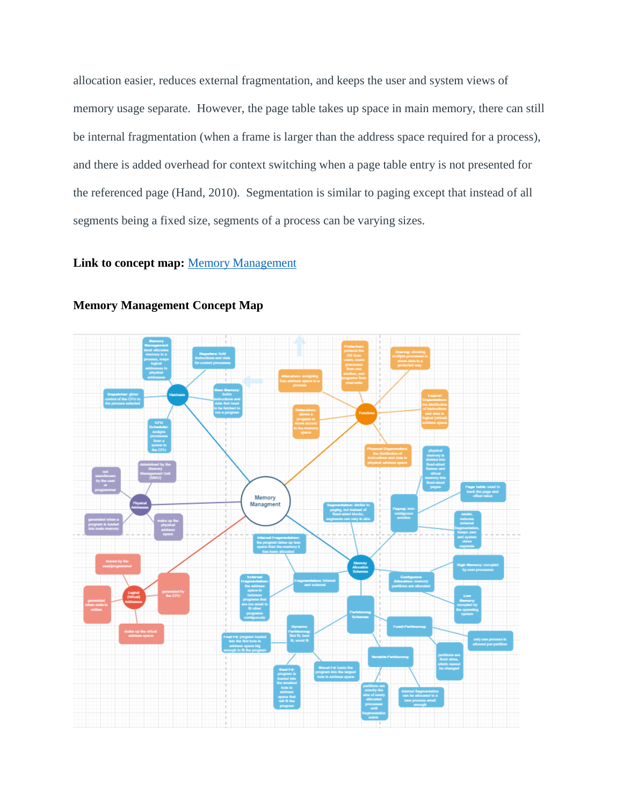allocation easier, reduces external fragmentation, and keeps the user and system views of memory usage separate. However, the page table takes up space in main memory, there can still be internal fragmentation (when a frame is larger than the address space required for a process), and there is added overhead for context switching when a page table entry is not presented for the referenced page (Hand, 2010). Segmentation is similar to paging except that instead of all segments being a fixed size, segments of a process can be varying sizes.

### **Link to concept map:** [Memory Management](https://drive.google.com/file/d/1YlXEoHc8qp8hE8DZSBA7k2oMtE8FHH4X/view?usp=sharing)



**Memory Management Concept Map**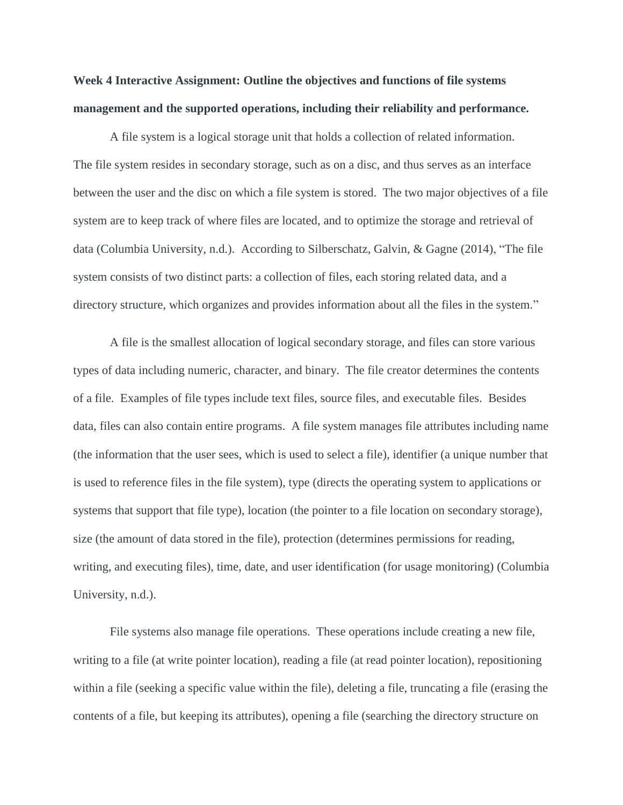## **Week 4 Interactive Assignment: Outline the objectives and functions of file systems management and the supported operations, including their reliability and performance.**

A file system is a logical storage unit that holds a collection of related information. The file system resides in secondary storage, such as on a disc, and thus serves as an interface between the user and the disc on which a file system is stored. The two major objectives of a file system are to keep track of where files are located, and to optimize the storage and retrieval of data (Columbia University, n.d.). According to Silberschatz, Galvin, & Gagne (2014), "The file system consists of two distinct parts: a collection of files, each storing related data, and a directory structure, which organizes and provides information about all the files in the system."

A file is the smallest allocation of logical secondary storage, and files can store various types of data including numeric, character, and binary. The file creator determines the contents of a file. Examples of file types include text files, source files, and executable files. Besides data, files can also contain entire programs. A file system manages file attributes including name (the information that the user sees, which is used to select a file), identifier (a unique number that is used to reference files in the file system), type (directs the operating system to applications or systems that support that file type), location (the pointer to a file location on secondary storage), size (the amount of data stored in the file), protection (determines permissions for reading, writing, and executing files), time, date, and user identification (for usage monitoring) (Columbia University, n.d.).

File systems also manage file operations. These operations include creating a new file, writing to a file (at write pointer location), reading a file (at read pointer location), repositioning within a file (seeking a specific value within the file), deleting a file, truncating a file (erasing the contents of a file, but keeping its attributes), opening a file (searching the directory structure on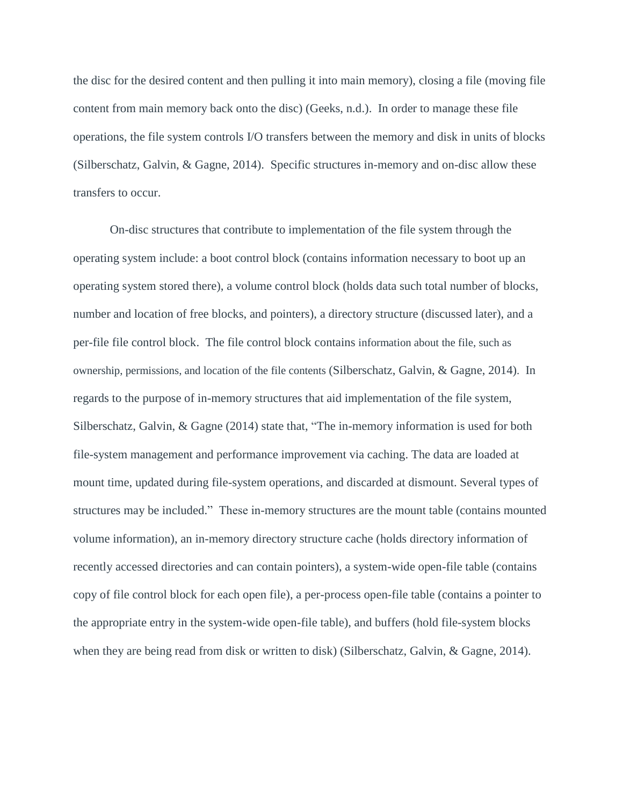the disc for the desired content and then pulling it into main memory), closing a file (moving file content from main memory back onto the disc) (Geeks, n.d.). In order to manage these file operations, the file system controls I/O transfers between the memory and disk in units of blocks (Silberschatz, Galvin, & Gagne, 2014). Specific structures in-memory and on-disc allow these transfers to occur.

On-disc structures that contribute to implementation of the file system through the operating system include: a boot control block (contains information necessary to boot up an operating system stored there), a volume control block (holds data such total number of blocks, number and location of free blocks, and pointers), a directory structure (discussed later), and a per-file file control block. The file control block contains information about the file, such as ownership, permissions, and location of the file contents (Silberschatz, Galvin, & Gagne, 2014). In regards to the purpose of in-memory structures that aid implementation of the file system, Silberschatz, Galvin, & Gagne (2014) state that, "The in-memory information is used for both file-system management and performance improvement via caching. The data are loaded at mount time, updated during file-system operations, and discarded at dismount. Several types of structures may be included." These in-memory structures are the mount table (contains mounted volume information), an in-memory directory structure cache (holds directory information of recently accessed directories and can contain pointers), a system-wide open-file table (contains copy of file control block for each open file), a per-process open-file table (contains a pointer to the appropriate entry in the system-wide open-file table), and buffers (hold file-system blocks when they are being read from disk or written to disk) (Silberschatz, Galvin, & Gagne, 2014).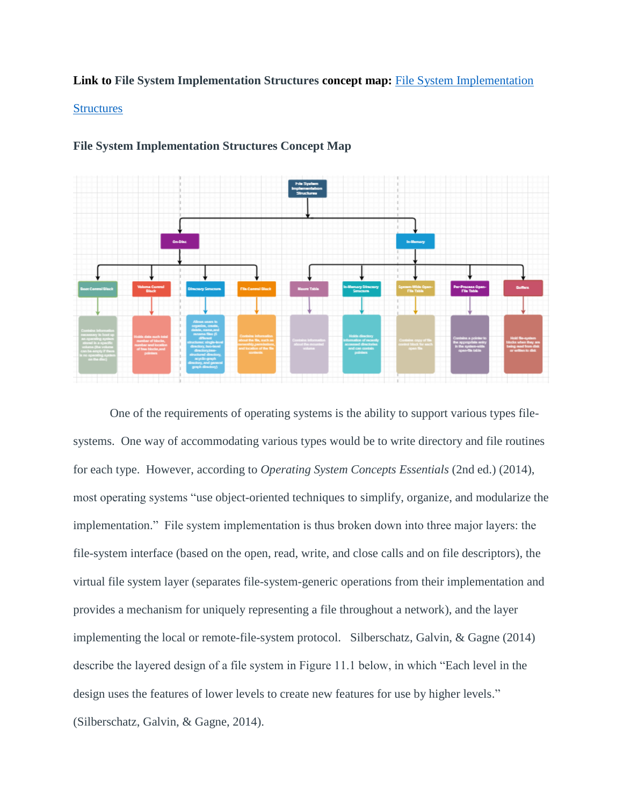### **Link to File System Implementation Structures concept map:** [File System Implementation](https://drive.google.com/file/d/1hlPka-W8xHpVKMbjHEEL1lsypQ_5V8mR/view?usp=sharing)

#### **[Structures](https://drive.google.com/file/d/1hlPka-W8xHpVKMbjHEEL1lsypQ_5V8mR/view?usp=sharing)**



### **File System Implementation Structures Concept Map**

One of the requirements of operating systems is the ability to support various types filesystems. One way of accommodating various types would be to write directory and file routines for each type. However, according to *Operating System Concepts Essentials* (2nd ed.) (2014), most operating systems "use object-oriented techniques to simplify, organize, and modularize the implementation." File system implementation is thus broken down into three major layers: the file-system interface (based on the open, read, write, and close calls and on file descriptors), the virtual file system layer (separates file-system-generic operations from their implementation and provides a mechanism for uniquely representing a file throughout a network), and the layer implementing the local or remote-file-system protocol. Silberschatz, Galvin, & Gagne (2014) describe the layered design of a file system in Figure 11.1 below, in which "Each level in the design uses the features of lower levels to create new features for use by higher levels." (Silberschatz, Galvin, & Gagne, 2014).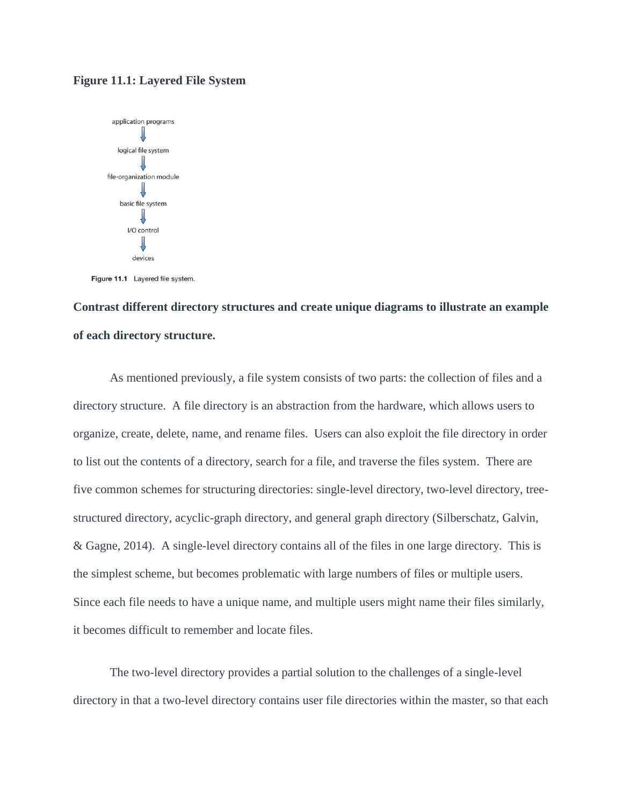#### **Figure 11.1: Layered File System**



Figure 11.1 Layered file system.

## **Contrast different directory structures and create unique diagrams to illustrate an example of each directory structure.**

As mentioned previously, a file system consists of two parts: the collection of files and a directory structure. A file directory is an abstraction from the hardware, which allows users to organize, create, delete, name, and rename files. Users can also exploit the file directory in order to list out the contents of a directory, search for a file, and traverse the files system. There are five common schemes for structuring directories: single-level directory, two-level directory, treestructured directory, acyclic-graph directory, and general graph directory (Silberschatz, Galvin, & Gagne, 2014). A single-level directory contains all of the files in one large directory. This is the simplest scheme, but becomes problematic with large numbers of files or multiple users. Since each file needs to have a unique name, and multiple users might name their files similarly, it becomes difficult to remember and locate files.

The two-level directory provides a partial solution to the challenges of a single-level directory in that a two-level directory contains user file directories within the master, so that each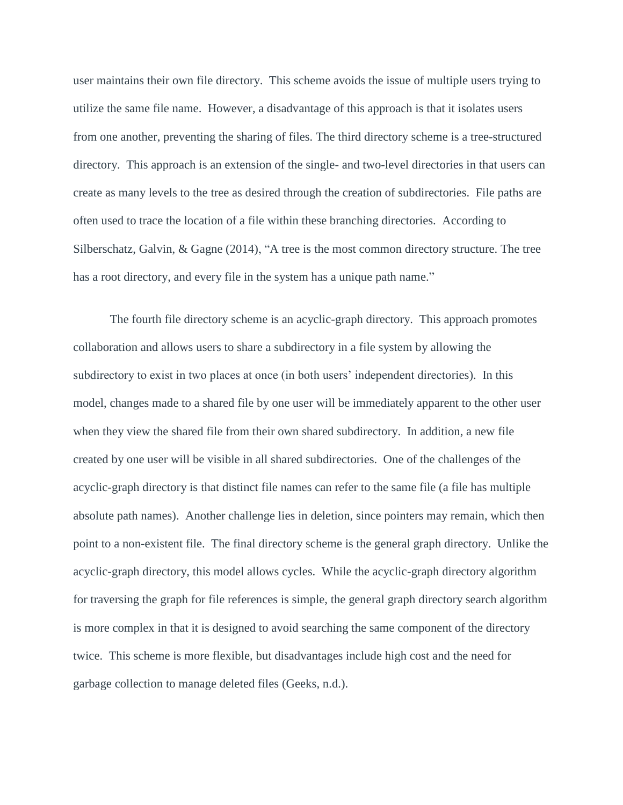user maintains their own file directory. This scheme avoids the issue of multiple users trying to utilize the same file name. However, a disadvantage of this approach is that it isolates users from one another, preventing the sharing of files. The third directory scheme is a tree-structured directory. This approach is an extension of the single- and two-level directories in that users can create as many levels to the tree as desired through the creation of subdirectories. File paths are often used to trace the location of a file within these branching directories. According to Silberschatz, Galvin, & Gagne (2014), "A tree is the most common directory structure. The tree has a root directory, and every file in the system has a unique path name."

The fourth file directory scheme is an acyclic-graph directory. This approach promotes collaboration and allows users to share a subdirectory in a file system by allowing the subdirectory to exist in two places at once (in both users' independent directories). In this model, changes made to a shared file by one user will be immediately apparent to the other user when they view the shared file from their own shared subdirectory. In addition, a new file created by one user will be visible in all shared subdirectories. One of the challenges of the acyclic-graph directory is that distinct file names can refer to the same file (a file has multiple absolute path names). Another challenge lies in deletion, since pointers may remain, which then point to a non-existent file. The final directory scheme is the general graph directory. Unlike the acyclic-graph directory, this model allows cycles. While the acyclic-graph directory algorithm for traversing the graph for file references is simple, the general graph directory search algorithm is more complex in that it is designed to avoid searching the same component of the directory twice. This scheme is more flexible, but disadvantages include high cost and the need for garbage collection to manage deleted files (Geeks, n.d.).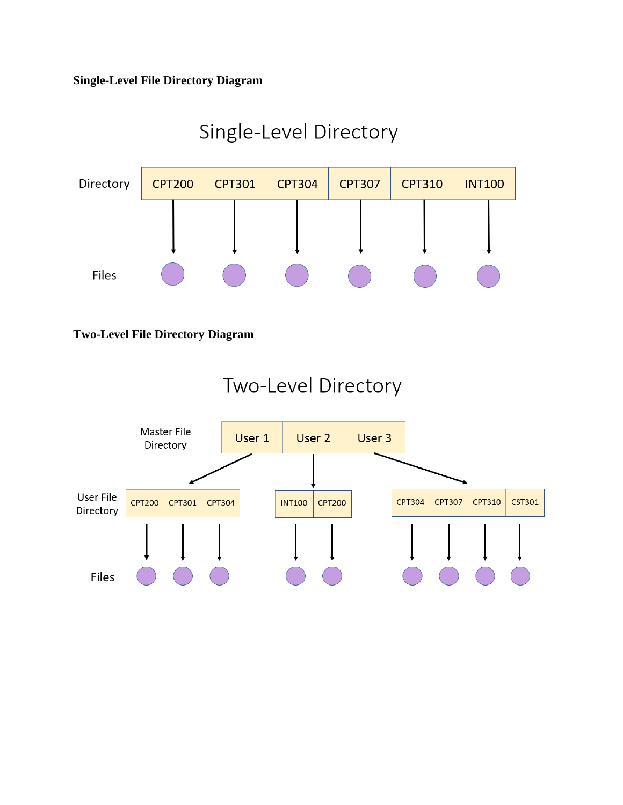### **Single-Level File Directory Diagram**

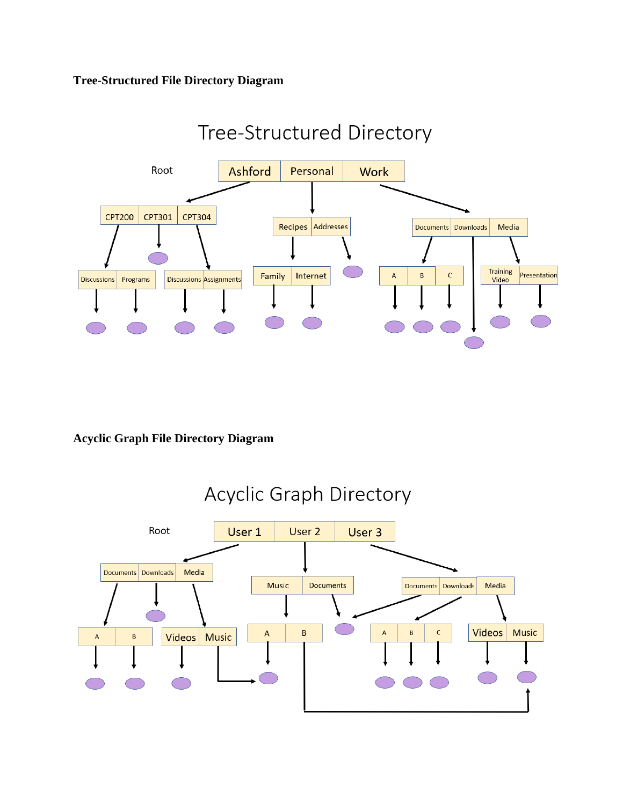### **Tree-Structured File Directory Diagram**



### **Acyclic Graph File Directory Diagram**

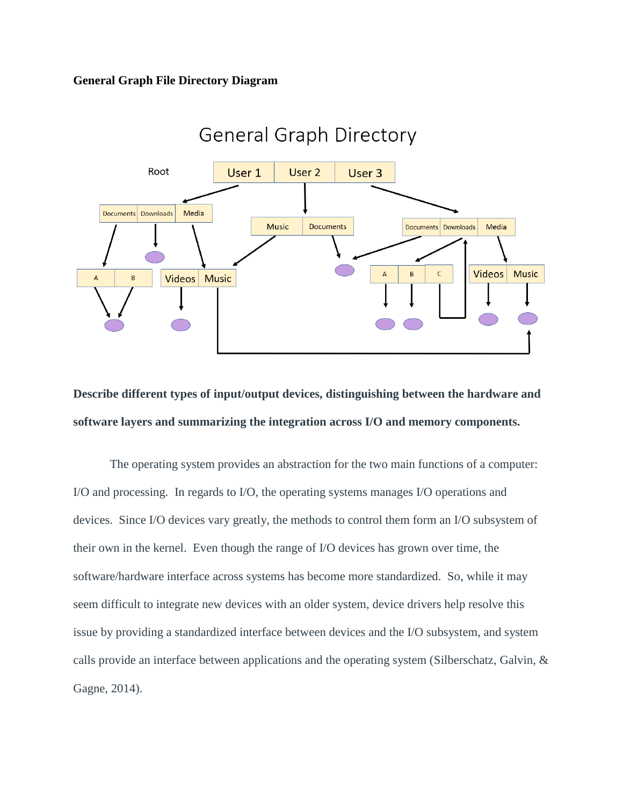### **General Graph File Directory Diagram**



# **Describe different types of input/output devices, distinguishing between the hardware and software layers and summarizing the integration across I/O and memory components.**

The operating system provides an abstraction for the two main functions of a computer: I/O and processing. In regards to I/O, the operating systems manages I/O operations and devices. Since I/O devices vary greatly, the methods to control them form an I/O subsystem of their own in the kernel. Even though the range of I/O devices has grown over time, the software/hardware interface across systems has become more standardized. So, while it may seem difficult to integrate new devices with an older system, device drivers help resolve this issue by providing a standardized interface between devices and the I/O subsystem, and system calls provide an interface between applications and the operating system (Silberschatz, Galvin, & Gagne, 2014).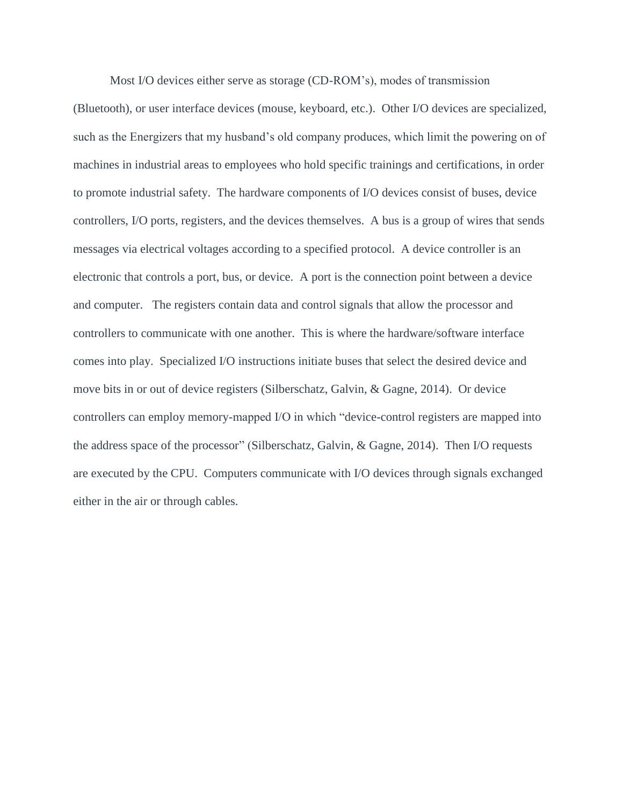Most I/O devices either serve as storage (CD-ROM's), modes of transmission (Bluetooth), or user interface devices (mouse, keyboard, etc.). Other I/O devices are specialized, such as the Energizers that my husband's old company produces, which limit the powering on of machines in industrial areas to employees who hold specific trainings and certifications, in order to promote industrial safety. The hardware components of I/O devices consist of buses, device controllers, I/O ports, registers, and the devices themselves. A bus is a group of wires that sends messages via electrical voltages according to a specified protocol. A device controller is an electronic that controls a port, bus, or device. A port is the connection point between a device and computer. The registers contain data and control signals that allow the processor and controllers to communicate with one another. This is where the hardware/software interface comes into play. Specialized I/O instructions initiate buses that select the desired device and move bits in or out of device registers (Silberschatz, Galvin, & Gagne, 2014). Or device controllers can employ memory-mapped I/O in which "device-control registers are mapped into the address space of the processor" (Silberschatz, Galvin, & Gagne, 2014). Then I/O requests are executed by the CPU. Computers communicate with I/O devices through signals exchanged either in the air or through cables.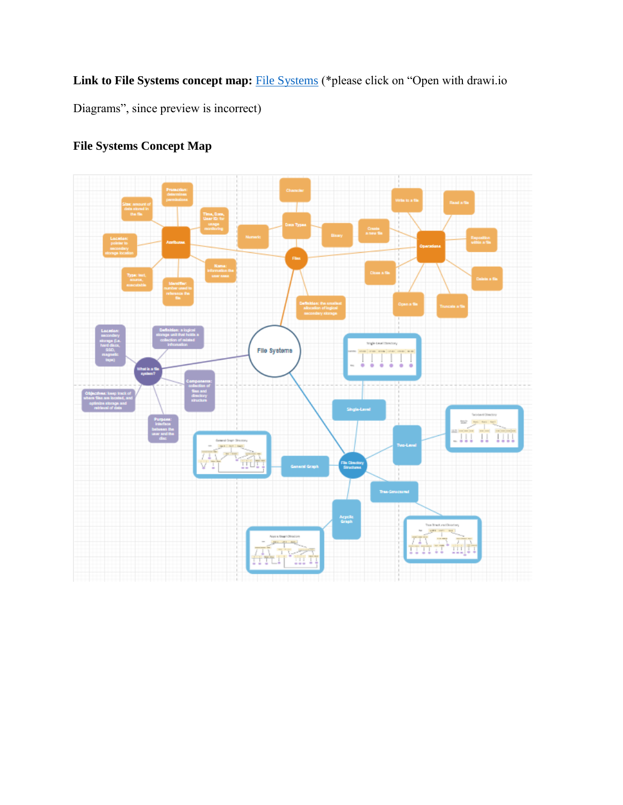Link to [File Systems](https://drive.google.com/file/d/1uOp4EinCe26leu2Imc9o-Hrg0v9DiTyb/view?usp=sharing) concept map: File Systems (\*please click on "Open with drawi.io

Diagrams", since preview is incorrect)



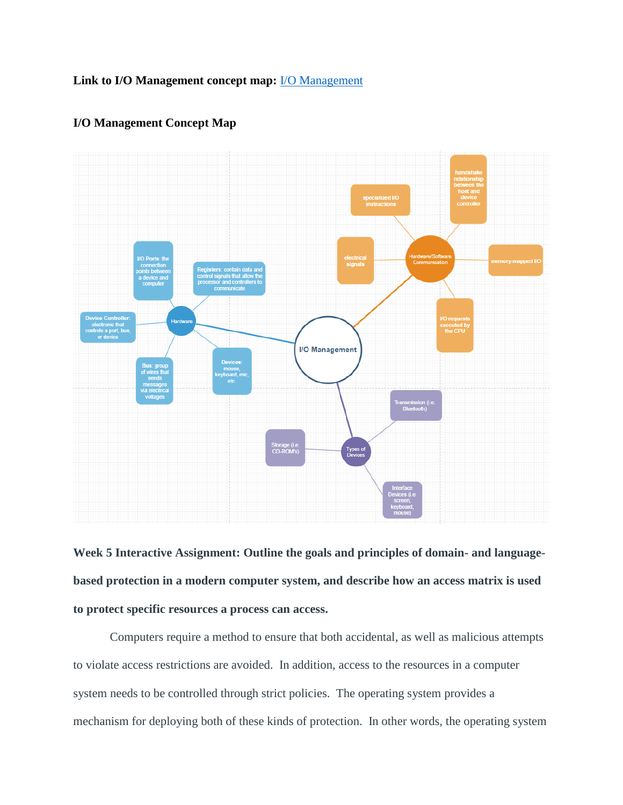### **Link to I/O Management concept map:** [I/O Management](https://drive.google.com/file/d/1k4wkGPjNtN4Waqs5-76QlvIEIL7ORFCE/view?usp=sharing)



### **I/O Management Concept Map**

**Week 5 Interactive Assignment: Outline the goals and principles of domain- and languagebased protection in a modern computer system, and describe how an access matrix is used to protect specific resources a process can access.** 

Computers require a method to ensure that both accidental, as well as malicious attempts to violate access restrictions are avoided. In addition, access to the resources in a computer system needs to be controlled through strict policies. The operating system provides a mechanism for deploying both of these kinds of protection. In other words, the operating system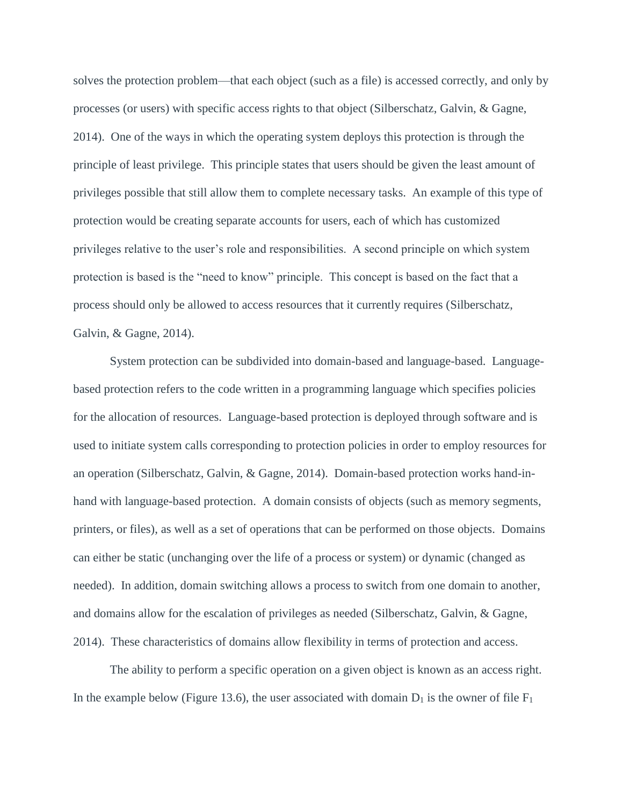solves the protection problem—that each object (such as a file) is accessed correctly, and only by processes (or users) with specific access rights to that object (Silberschatz, Galvin, & Gagne, 2014). One of the ways in which the operating system deploys this protection is through the principle of least privilege. This principle states that users should be given the least amount of privileges possible that still allow them to complete necessary tasks. An example of this type of protection would be creating separate accounts for users, each of which has customized privileges relative to the user's role and responsibilities. A second principle on which system protection is based is the "need to know" principle. This concept is based on the fact that a process should only be allowed to access resources that it currently requires (Silberschatz, Galvin, & Gagne, 2014).

System protection can be subdivided into domain-based and language-based. Languagebased protection refers to the code written in a programming language which specifies policies for the allocation of resources. Language-based protection is deployed through software and is used to initiate system calls corresponding to protection policies in order to employ resources for an operation (Silberschatz, Galvin, & Gagne, 2014). Domain-based protection works hand-inhand with language-based protection. A domain consists of objects (such as memory segments, printers, or files), as well as a set of operations that can be performed on those objects. Domains can either be static (unchanging over the life of a process or system) or dynamic (changed as needed). In addition, domain switching allows a process to switch from one domain to another, and domains allow for the escalation of privileges as needed (Silberschatz, Galvin, & Gagne, 2014). These characteristics of domains allow flexibility in terms of protection and access.

The ability to perform a specific operation on a given object is known as an access right. In the example below (Figure 13.6), the user associated with domain  $D_1$  is the owner of file  $F_1$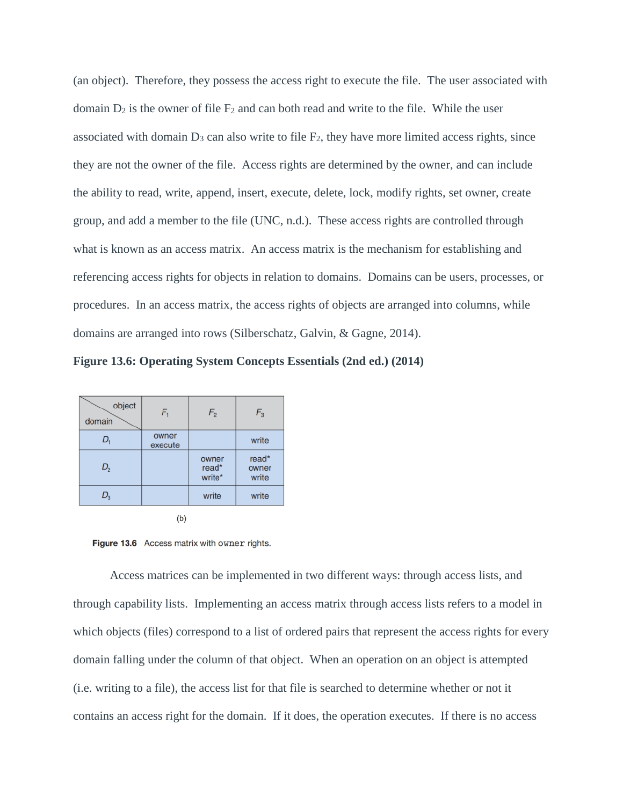(an object). Therefore, they possess the access right to execute the file. The user associated with domain  $D_2$  is the owner of file  $F_2$  and can both read and write to the file. While the user associated with domain  $D_3$  can also write to file  $F_2$ , they have more limited access rights, since they are not the owner of the file. Access rights are determined by the owner, and can include the ability to read, write, append, insert, execute, delete, lock, modify rights, set owner, create group, and add a member to the file (UNC, n.d.). These access rights are controlled through what is known as an access matrix. An access matrix is the mechanism for establishing and referencing access rights for objects in relation to domains. Domains can be users, processes, or procedures. In an access matrix, the access rights of objects are arranged into columns, while domains are arranged into rows (Silberschatz, Galvin, & Gagne, 2014).

**Figure 13.6: Operating System Concepts Essentials (2nd ed.) (2014)**

| object<br>domain | $F_{1}$          | F <sub>2</sub>           | $F_3$                   |
|------------------|------------------|--------------------------|-------------------------|
| D,               | owner<br>execute |                          | write                   |
| $D_{2}$          |                  | owner<br>read*<br>write* | read*<br>owner<br>write |
| $D_{3}$          |                  | write                    | write                   |



Figure 13.6 Access matrix with owner rights.

Access matrices can be implemented in two different ways: through access lists, and through capability lists. Implementing an access matrix through access lists refers to a model in which objects (files) correspond to a list of ordered pairs that represent the access rights for every domain falling under the column of that object. When an operation on an object is attempted (i.e. writing to a file), the access list for that file is searched to determine whether or not it contains an access right for the domain. If it does, the operation executes. If there is no access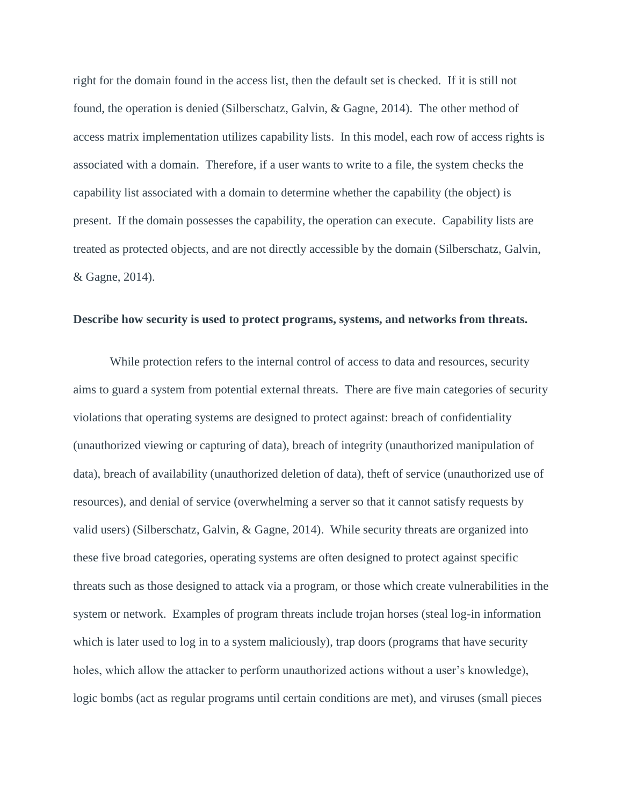right for the domain found in the access list, then the default set is checked. If it is still not found, the operation is denied (Silberschatz, Galvin, & Gagne, 2014). The other method of access matrix implementation utilizes capability lists. In this model, each row of access rights is associated with a domain. Therefore, if a user wants to write to a file, the system checks the capability list associated with a domain to determine whether the capability (the object) is present. If the domain possesses the capability, the operation can execute. Capability lists are treated as protected objects, and are not directly accessible by the domain (Silberschatz, Galvin, & Gagne, 2014).

#### **Describe how security is used to protect programs, systems, and networks from threats.**

While protection refers to the internal control of access to data and resources, security aims to guard a system from potential external threats. There are five main categories of security violations that operating systems are designed to protect against: breach of confidentiality (unauthorized viewing or capturing of data), breach of integrity (unauthorized manipulation of data), breach of availability (unauthorized deletion of data), theft of service (unauthorized use of resources), and denial of service (overwhelming a server so that it cannot satisfy requests by valid users) (Silberschatz, Galvin, & Gagne, 2014). While security threats are organized into these five broad categories, operating systems are often designed to protect against specific threats such as those designed to attack via a program, or those which create vulnerabilities in the system or network. Examples of program threats include trojan horses (steal log-in information which is later used to log in to a system maliciously), trap doors (programs that have security holes, which allow the attacker to perform unauthorized actions without a user's knowledge), logic bombs (act as regular programs until certain conditions are met), and viruses (small pieces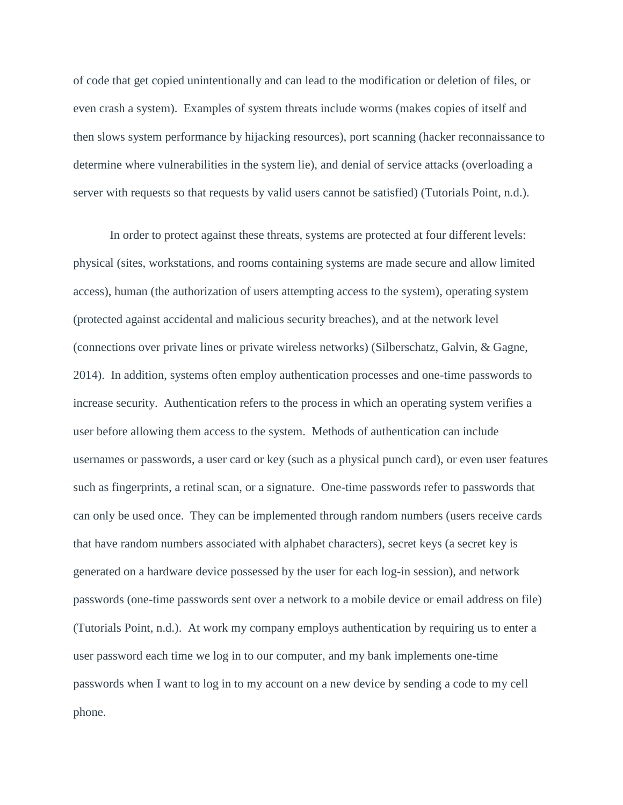of code that get copied unintentionally and can lead to the modification or deletion of files, or even crash a system). Examples of system threats include worms (makes copies of itself and then slows system performance by hijacking resources), port scanning (hacker reconnaissance to determine where vulnerabilities in the system lie), and denial of service attacks (overloading a server with requests so that requests by valid users cannot be satisfied) (Tutorials Point, n.d.).

In order to protect against these threats, systems are protected at four different levels: physical (sites, workstations, and rooms containing systems are made secure and allow limited access), human (the authorization of users attempting access to the system), operating system (protected against accidental and malicious security breaches), and at the network level (connections over private lines or private wireless networks) (Silberschatz, Galvin, & Gagne, 2014). In addition, systems often employ authentication processes and one-time passwords to increase security. Authentication refers to the process in which an operating system verifies a user before allowing them access to the system. Methods of authentication can include usernames or passwords, a user card or key (such as a physical punch card), or even user features such as fingerprints, a retinal scan, or a signature. One-time passwords refer to passwords that can only be used once. They can be implemented through random numbers (users receive cards that have random numbers associated with alphabet characters), secret keys (a secret key is generated on a hardware device possessed by the user for each log-in session), and network passwords (one-time passwords sent over a network to a mobile device or email address on file) (Tutorials Point, n.d.). At work my company employs authentication by requiring us to enter a user password each time we log in to our computer, and my bank implements one-time passwords when I want to log in to my account on a new device by sending a code to my cell phone.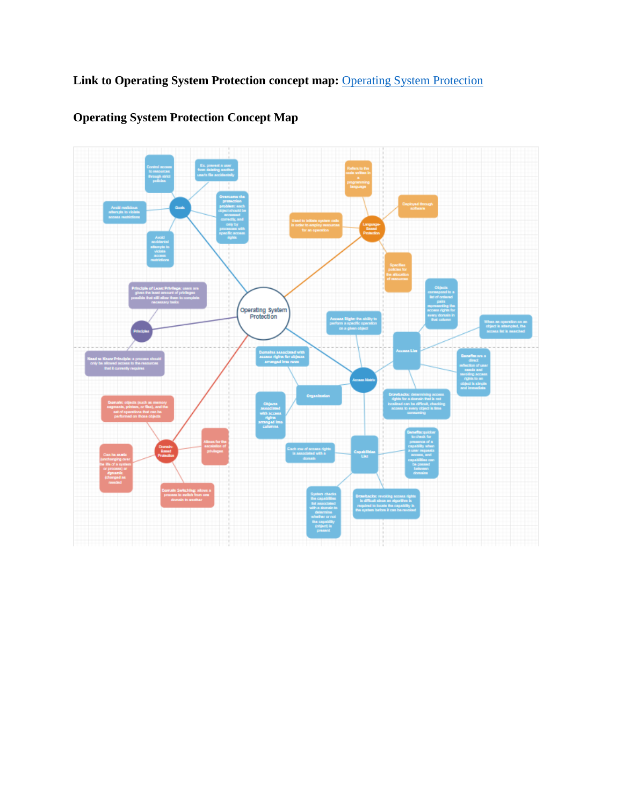Link to [Operating System Protection](https://drive.google.com/file/d/1Rz4EUPPlKWaGVB7un5kTot6FFgVHwfo7/view?usp=sharing) concept map: **Operating System Protection** 



## **Operating System Protection Concept Map**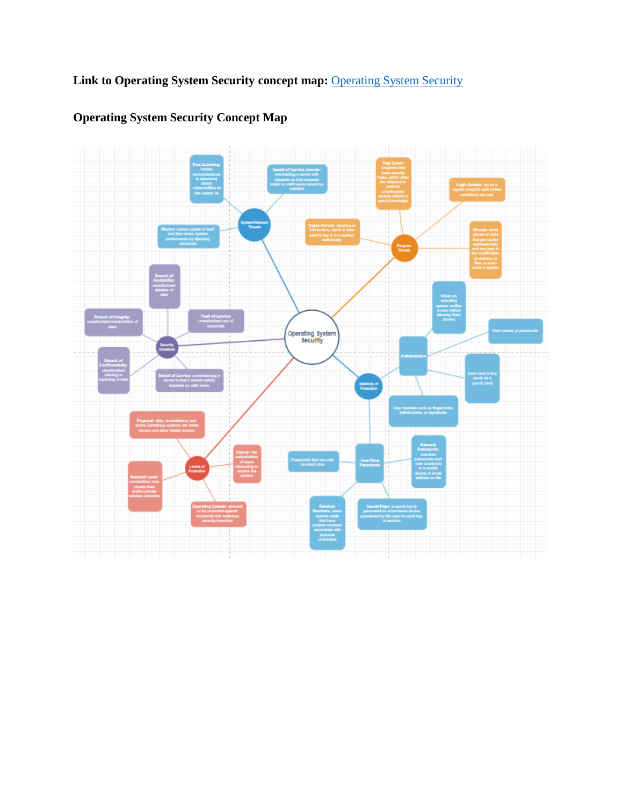**Link to Operating System Security concept map:** [Operating System Security](https://drive.google.com/file/d/191vvpFTc47ttA-bSsescAlrCpV8Bv-xM/view?usp=sharing)



## **Operating System Security Concept Map**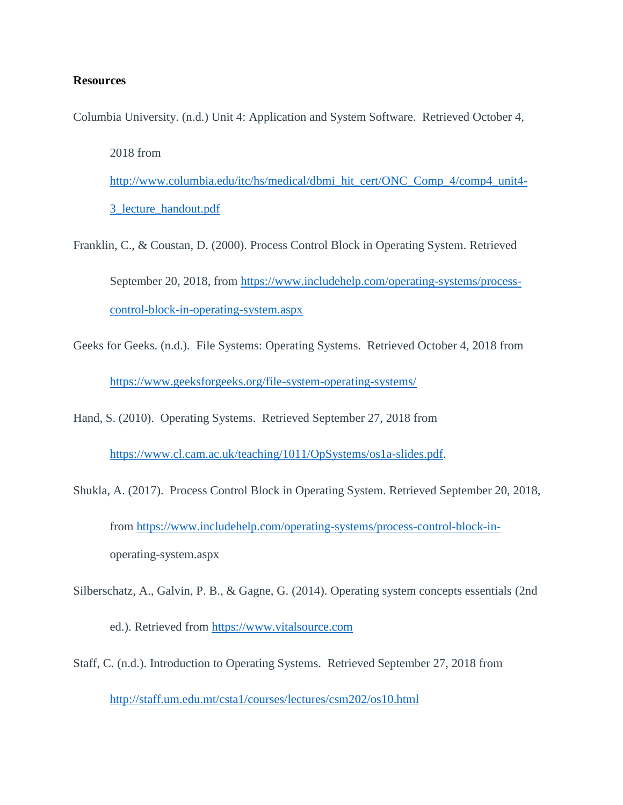### **Resources**

Columbia University. (n.d.) Unit 4: Application and System Software. Retrieved October 4,

2018 from

[http://www.columbia.edu/itc/hs/medical/dbmi\\_hit\\_cert/ONC\\_Comp\\_4/comp4\\_unit4-](http://www.columbia.edu/itc/hs/medical/dbmi_hit_cert/ONC_Comp_4/comp4_unit4-3_lecture_handout.pdf) [3\\_lecture\\_handout.pdf](http://www.columbia.edu/itc/hs/medical/dbmi_hit_cert/ONC_Comp_4/comp4_unit4-3_lecture_handout.pdf)

Franklin, C., & Coustan, D. (2000). Process Control Block in Operating System. Retrieved September 20, 2018, from [https://www.includehelp.com/operating-systems/process](https://www.includehelp.com/operating-systems/process-control-block-in-operating-system.aspx)[control-block-in-operating-system.aspx](https://www.includehelp.com/operating-systems/process-control-block-in-operating-system.aspx)

Geeks for Geeks. (n.d.). File Systems: Operating Systems. Retrieved October 4, 2018 from <https://www.geeksforgeeks.org/file-system-operating-systems/>

Hand, S. (2010). Operating Systems. Retrieved September 27, 2018 from

[https://www.cl.cam.ac.uk/teaching/1011/OpSystems/os1a-slides.pdf.](https://www.cl.cam.ac.uk/teaching/1011/OpSystems/os1a-slides.pdf)

- Shukla, A. (2017). Process Control Block in Operating System. Retrieved September 20, 2018, from [https://www.includehelp.com/operating-systems/process-control-block-in](https://www.includehelp.com/operating-systems/process-control-block-in-)operating-system.aspx
- Silberschatz, A., Galvin, P. B., & Gagne, G. (2014). Operating system concepts essentials (2nd

ed.). Retrieved from [https://www.vitalsource.com](https://www.vitalsource.com/)

Staff, C. (n.d.). Introduction to Operating Systems. Retrieved September 27, 2018 from <http://staff.um.edu.mt/csta1/courses/lectures/csm202/os10.html>